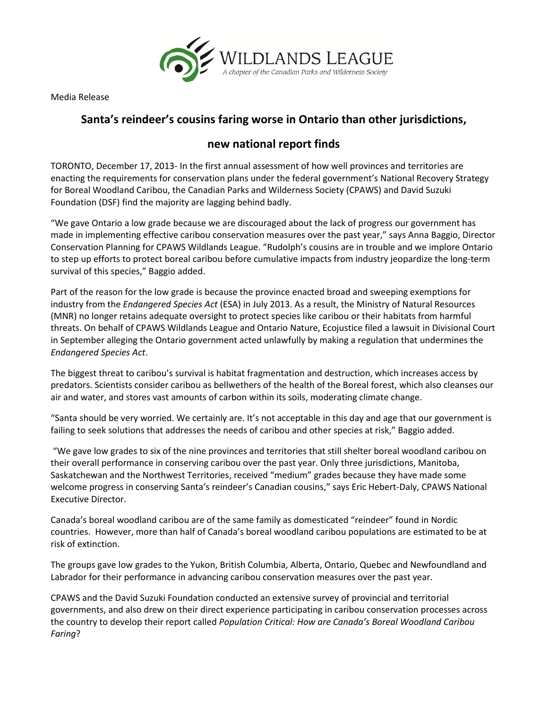

Media Release

## **Santa's reindeer's cousins faring worse in Ontario than other jurisdictions,**

## **new national report finds**

TORONTO, December 17, 2013- In the first annual assessment of how well provinces and territories are enacting the requirements for conservation plans under the federal government's National Recovery Strategy for Boreal Woodland Caribou, the Canadian Parks and Wilderness Society (CPAWS) and David Suzuki Foundation (DSF) find the majority are lagging behind badly.

"We gave Ontario a low grade because we are discouraged about the lack of progress our government has made in implementing effective caribou conservation measures over the past year," says Anna Baggio, Director Conservation Planning for CPAWS Wildlands League. "Rudolph's cousins are in trouble and we implore Ontario to step up efforts to protect boreal caribou before cumulative impacts from industry jeopardize the long-term survival of this species," Baggio added.

Part of the reason for the low grade is because the province enacted broad and sweeping exemptions for industry from the *Endangered Species Act* (ESA) in July 2013. As a result, the Ministry of Natural Resources (MNR) no longer retains adequate oversight to protect species like caribou or their habitats from harmful threats. On behalf of CPAWS Wildlands League and Ontario Nature, Ecojustice filed a lawsuit in Divisional Court in September alleging the Ontario government acted unlawfully by making a regulation that undermines the *Endangered Species Act*.

The biggest threat to caribou's survival is habitat fragmentation and destruction, which increases access by predators. Scientists consider caribou as bellwethers of the health of the Boreal forest, which also cleanses our air and water, and stores vast amounts of carbon within its soils, moderating climate change.

"Santa should be very worried. We certainly are. It's not acceptable in this day and age that our government is failing to seek solutions that addresses the needs of caribou and other species at risk," Baggio added.

"We gave low grades to six of the nine provinces and territories that still shelter boreal woodland caribou on their overall performance in conserving caribou over the past year. Only three jurisdictions, Manitoba, Saskatchewan and the Northwest Territories, received "medium" grades because they have made some welcome progress in conserving Santa's reindeer's Canadian cousins," says Eric Hebert-Daly, CPAWS National Executive Director.

Canada's boreal woodland caribou are of the same family as domesticated "reindeer" found in Nordic countries. However, more than half of Canada's boreal woodland caribou populations are estimated to be at risk of extinction.

The groups gave low grades to the Yukon, British Columbia, Alberta, Ontario, Quebec and Newfoundland and Labrador for their performance in advancing caribou conservation measures over the past year.

CPAWS and the David Suzuki Foundation conducted an extensive survey of provincial and territorial governments, and also drew on their direct experience participating in caribou conservation processes across the country to develop their report called *Population Critical: How are Canada's Boreal Woodland Caribou Faring*?